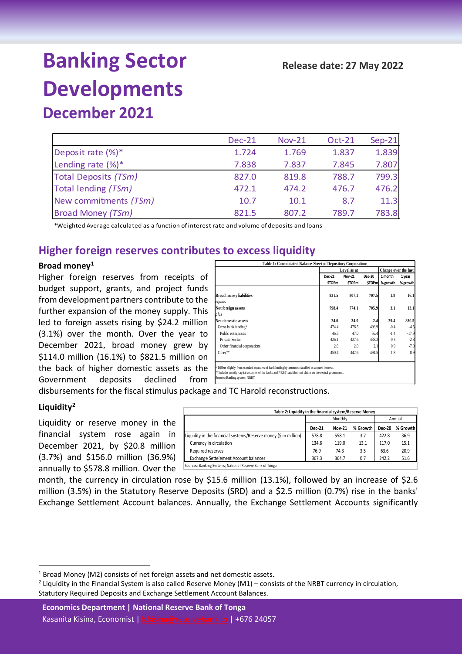# **Banking Sector Developments December 2021**

|                          | <b>Dec-21</b> | <b>Nov-21</b> | Oct-21 | $Sep-21$ |
|--------------------------|---------------|---------------|--------|----------|
| Deposit rate (%)*        | 1.724         | 1.769         | 1.837  | 1.839    |
| Lending rate $(\%)^*$    | 7.838         | 7.837         | 7.845  | 7.807    |
| Total Deposits (TSm)     | 827.0         | 819.8         | 788.7  | 799.3    |
| Total lending (TSm)      | 472.1         | 474.2         | 476.7  | 476.2    |
| New commitments (TSm)    | 10.7          | 10.1          | 8.7    | 11.3     |
| <b>Broad Money (TSm)</b> | 821.5         | 807.2         | 789.7  | 783.8    |

\*Weighted Average calculated as a function of interest rate and volume of deposits and loans

## **Higher foreign reserves contributes to excess liquidity**

### **Broad money[1](#page-0-0)**

Higher foreign reserves from receipts of budget support, grants, and project funds from development partners contribute to the further expansion of the money supply. This led to foreign assets rising by \$24.2 million (3.1%) over the month. Over the year to December 2021, broad money grew by \$114.0 million (16.1%) to \$821.5 million on the back of higher domestic assets as the Government deposits declined from Sources: Banking system; NRBT

|                                          | Level as at             | Change over the last          |                         |                     |                    |
|------------------------------------------|-------------------------|-------------------------------|-------------------------|---------------------|--------------------|
|                                          | Dec-21<br><b>STOP</b> m | <b>Nov-21</b><br><b>STOPm</b> | Dec-20<br><b>STOPml</b> | 1 month<br>% growth | 1 year<br>% growth |
| <b>Broad money liabilities</b><br>equals | 821.5                   | 807.2                         | 707.5                   | 1.8                 | 16.1               |
| Net foreign assets                       | 798.4                   | 774.1                         | 705.9                   | 3.1                 | 13.1               |
| plus                                     |                         |                               |                         |                     |                    |
| Net domestic assets                      | 24.0                    | 34.0                          | 2.4                     | $-29.4$             | 880.5              |
| Gross bank lending*                      | 474.4                   | 476.5                         | 496.9                   | $-0.4$              | $-4.5$             |
| Public enterprises                       | 46.3                    | 47.0                          | 56.4                    | $-1.4$              | $-17.9$            |
| Private Sector                           | 426.1                   | 427.6                         | 438.3                   | $-0.3$              | $-2.8$             |
| Other financial corporations             | 2.0                     | 2.0                           | 2.1                     | 0.9                 | $-7.0$             |
| Other**                                  | $-450.4$                | $-442.6$                      | $-494.5$                | 1.8                 | $-8.9$             |

disbursements for the fiscal stimulus package and TC Harold reconstructions.

### **Liquidity[2](#page-0-1)**

Liquidity or reserve money in the financial system rose again in December 2021, by \$20.8 million (3.7%) and \$156.0 million (36.9%) annually to \$578.8 million. Over the samaling Systems; National Reserve Bank of Tonga

| Table 2: Liquidity in the financial system/Reserve Money |               |          |               |          |  |  |  |  |
|----------------------------------------------------------|---------------|----------|---------------|----------|--|--|--|--|
| Monthly<br>Annual                                        |               |          |               |          |  |  |  |  |
| Dec-21                                                   | <b>Nov-21</b> | % Growth | <b>Dec-20</b> | % Growth |  |  |  |  |
| 578.8                                                    | 558.1         | 3.7      | 422.8         | 36.9     |  |  |  |  |
| 134.6                                                    | 119.0         | 13.1     | 117.0         | 15.1     |  |  |  |  |
| 76.9                                                     | 74.3          | 3.5      | 63.6          | 20.9     |  |  |  |  |
| 367.3                                                    | 364.7         | 0.7      | 242.2         | 51.6     |  |  |  |  |
|                                                          |               |          |               |          |  |  |  |  |

month, the currency in circulation rose by \$15.6 million (13.1%), followed by an increase of \$2.6

million (3.5%) in the Statutory Reserve Deposits (SRD) and a \$2.5 million (0.7%) rise in the banks' Exchange Settlement Account balances. Annually, the Exchange Settlement Accounts significantly

<span id="page-0-0"></span> $1$  Broad Money (M2) consists of net foreign assets and net domestic assets.

<span id="page-0-1"></span> $2$  Liquidity in the Financial System is also called Reserve Money (M1) – consists of the NRBT currency in circulation, Statutory Required Deposits and Exchange Settlement Account Balances.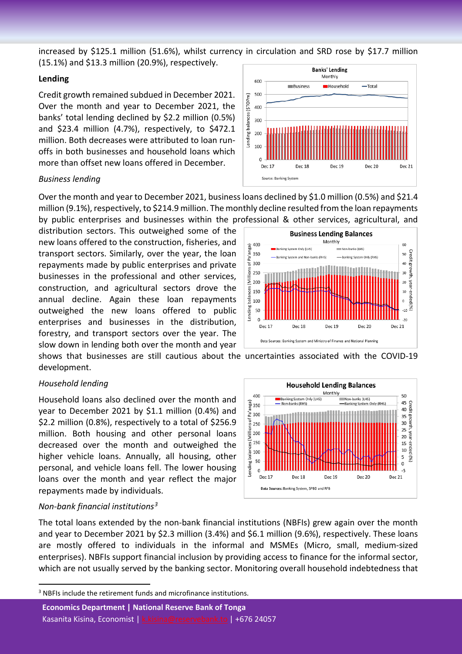increased by \$125.1 million (51.6%), whilst currency in circulation and SRD rose by \$17.7 million (15.1%) and \$13.3 million (20.9%), respectively.

### **Lending**

Credit growth remained subdued in December 2021. Over the month and year to December 2021, the banks' total lending declined by \$2.2 million (0.5%) and \$23.4 million (4.7%), respectively, to \$472.1 million. Both decreases were attributed to loan runoffs in both businesses and household loans which more than offset new loans offered in December.

### *Business lending*

Over the month and year to December 2021, business loans declined by \$1.0 million (0.5%) and \$21.4 million (9.1%), respectively, to \$214.9 million. The monthly decline resulted from the loan repayments by public enterprises and businesses within the professional & other services, agricultural, and

distribution sectors. This outweighed some of the new loans offered to the construction, fisheries, and transport sectors. Similarly, over the year, the loan repayments made by public enterprises and private businesses in the professional and other services, construction, and agricultural sectors drove the annual decline. Again these loan repayments outweighed the new loans offered to public enterprises and businesses in the distribution, forestry, and transport sectors over the year. The slow down in lending both over the month and year

shows that businesses are still cautious about the uncertainties associated with the COVID-19 development.

## *Household lending*

Household loans also declined over the month and year to December 2021 by \$1.1 million (0.4%) and \$2.2 million (0.8%), respectively to a total of \$256.9 million. Both housing and other personal loans decreased over the month and outweighed the higher vehicle loans. Annually, all housing, other personal, and vehicle loans fell. The lower housing loans over the month and year reflect the major repayments made by individuals.

## Data Sources: Banking System, SPBD and RFB *Non-bank financial institutions[3](#page-1-0)* The total loans extended by the non-bank financial institutions (NBFIs) grew again over the month

and year to December 2021 by \$2.3 million (3.4%) and \$6.1 million (9.6%), respectively. These loans are mostly offered to individuals in the informal and MSMEs (Micro, small, medium-sized enterprises). NBFIs support financial inclusion by providing access to finance for the informal sector, which are not usually served by the banking sector. Monitoring overall household indebtedness that







<span id="page-1-0"></span> $3$  NBFIs include the retirement funds and microfinance institutions.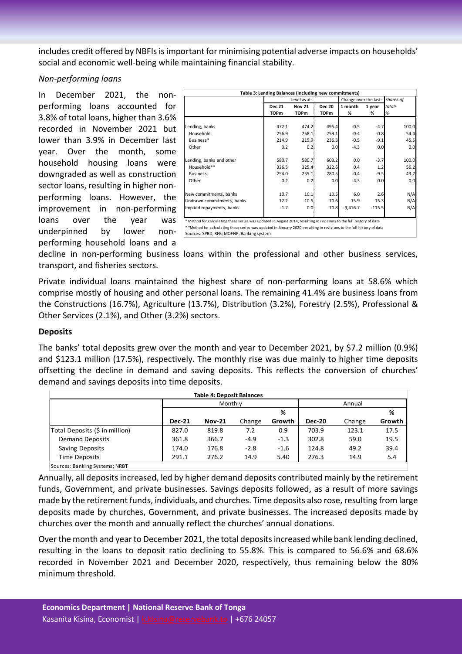includes credit offered by NBFIs is important for minimising potential adverse impacts on households' social and economic well-being while maintaining financial stability.

### *Non-performing loans*

In December 2021, the nonperforming loans accounted for 3.8% of total loans, higher than 3.6% recorded in November 2021 but lower than 3.9% in December last year. Over the month, some household housing loans were downgraded as well as construction sector loans, resulting in higher nonperforming loans. However, the improvement in non-performing loans over the year was underpinned by lower performing household loans and a

| Table 3: Lending Balances (including new commitments)                                                                 |                                |              |               |                       |           |        |  |
|-----------------------------------------------------------------------------------------------------------------------|--------------------------------|--------------|---------------|-----------------------|-----------|--------|--|
|                                                                                                                       |                                | Level as at: |               | Change over the last: | Shares of |        |  |
|                                                                                                                       | <b>Nov 21</b><br><b>Dec 21</b> |              | <b>Dec 20</b> | 1 month               | 1 year    | totals |  |
|                                                                                                                       | <b>TOPm</b>                    | TOPm         | TOPm          | %                     | %         | %      |  |
|                                                                                                                       |                                |              |               |                       |           |        |  |
| Lending, banks                                                                                                        | 472.1                          | 474.2        | 495.4         | $-0.5$                | $-4.7$    | 100.0  |  |
| Household                                                                                                             | 256.9                          | 258.1        | 259.1         | $-0.4$                | $-0.8$    | 54.4   |  |
| Business*                                                                                                             | 214.9                          | 215.9        | 236.3         | $-0.5$                | $-9.1$    | 45.5   |  |
| Other                                                                                                                 | 0.2                            | 0.2          | 0.0           | $-4.3$                | 0.0       | 0.0    |  |
|                                                                                                                       |                                |              |               |                       |           |        |  |
| Lending, banks and other                                                                                              | 580.7                          | 580.7        | 603.2         | 0.0                   | $-3.7$    | 100.0  |  |
| Household**                                                                                                           | 326.5                          | 325.4        | 322.6         | 0.4                   | 1.2       | 56.2   |  |
| <b>Business</b>                                                                                                       | 254.0                          | 255.1        | 280.5         | $-0.4$                | $-9.5$    | 43.7   |  |
| Other                                                                                                                 | 0.2                            | 0.2          | 0.0           | $-4.3$                | 0.0       | 0.0    |  |
|                                                                                                                       |                                |              |               |                       |           |        |  |
| New commitments, banks                                                                                                | 10.7                           | 10.1         | 10.5          | 6.0                   | 2.6       | N/A    |  |
| Undrawn commitments, banks                                                                                            | 12.2                           | 10.5         | 10.6          | 15.9                  | 15.3      | N/A    |  |
| Implied repayments, banks                                                                                             | $-1.7$                         | 0.01         | 10.8          | $-9,416.7$            | $-115.5$  | N/A    |  |
|                                                                                                                       |                                |              |               |                       |           |        |  |
| * Method for calculating these series was updated in August 2014, resulting in revisions to the full history of data  |                                |              |               |                       |           |        |  |
| **Method for calculating these series was updated in January 2020, resulting in revisions to the full history of data |                                |              |               |                       |           |        |  |
| Sources: SPBD; RFB; MOFNP; Banking system                                                                             |                                |              |               |                       |           |        |  |

decline in non-performing business loans within the professional and other business services, transport, and fisheries sectors.

Private individual loans maintained the highest share of non-performing loans at 58.6% which comprise mostly of housing and other personal loans. The remaining 41.4% are business loans from the Constructions (16.7%), Agriculture (13.7%), Distribution (3.2%), Forestry (2.5%), Professional & Other Services (2.1%), and Other (3.2%) sectors.

## **Deposits**

The banks' total deposits grew over the month and year to December 2021, by \$7.2 million (0.9%) and \$123.1 million (17.5%), respectively. The monthly rise was due mainly to higher time deposits offsetting the decline in demand and saving deposits. This reflects the conversion of churches' demand and savings deposits into time deposits.

| <b>Table 4: Deposit Balances</b> |               |               |        |        |               |        |        |  |
|----------------------------------|---------------|---------------|--------|--------|---------------|--------|--------|--|
|                                  |               | Monthly       |        |        |               | Annual |        |  |
|                                  |               |               |        | %      |               |        | %      |  |
|                                  | <b>Dec-21</b> | <b>Nov-21</b> | Change | Growth | <b>Dec-20</b> | Change | Growth |  |
| Total Deposits (\$ in million)   | 827.0         | 819.8         | 7.2    | 0.9    | 703.9         | 123.1  | 17.5   |  |
| <b>Demand Deposits</b>           | 361.8         | 366.7         | $-4.9$ | $-1.3$ | 302.8         | 59.0   | 19.5   |  |
| Saving Deposits                  | 174.0         | 176.8         | $-2.8$ | $-1.6$ | 124.8         | 49.2   | 39.4   |  |
| Time Deposits                    | 291.1         | 276.2         | 14.9   | 5.40   | 276.3         | 14.9   | 5.4    |  |
| Courses Danking Customs: NDDT    |               |               |        |        |               |        |        |  |

Sources: Banking Systems; NRBT

Annually, all deposits increased, led by higher demand deposits contributed mainly by the retirement funds, Government, and private businesses. Savings deposits followed, as a result of more savings made by the retirement funds, individuals, and churches. Time deposits also rose, resulting from large deposits made by churches, Government, and private businesses. The increased deposits made by churches over the month and annually reflect the churches' annual donations.

Over the month and year to December 2021, the total deposits increased while bank lending declined, resulting in the loans to deposit ratio declining to 55.8%. This is compared to 56.6% and 68.6% recorded in November 2021 and December 2020, respectively, thus remaining below the 80% minimum threshold.